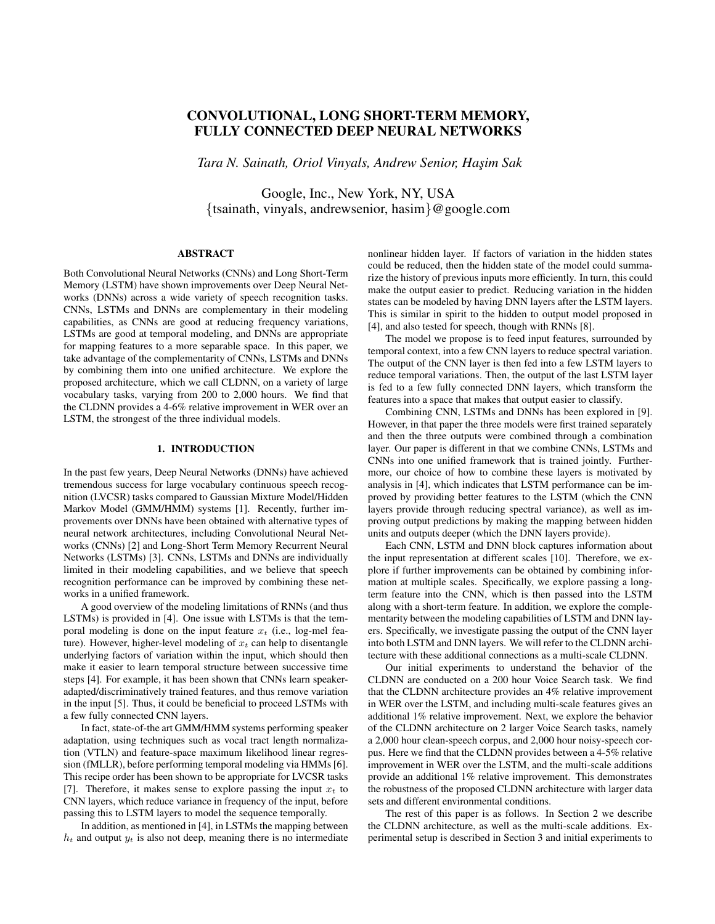# CONVOLUTIONAL, LONG SHORT-TERM MEMORY, FULLY CONNECTED DEEP NEURAL NETWORKS

*Tara N. Sainath, Oriol Vinyals, Andrew Senior, Has¸im Sak*

Google, Inc., New York, NY, USA {tsainath, vinyals, andrewsenior, hasim}@google.com

# ABSTRACT

Both Convolutional Neural Networks (CNNs) and Long Short-Term Memory (LSTM) have shown improvements over Deep Neural Networks (DNNs) across a wide variety of speech recognition tasks. CNNs, LSTMs and DNNs are complementary in their modeling capabilities, as CNNs are good at reducing frequency variations, LSTMs are good at temporal modeling, and DNNs are appropriate for mapping features to a more separable space. In this paper, we take advantage of the complementarity of CNNs, LSTMs and DNNs by combining them into one unified architecture. We explore the proposed architecture, which we call CLDNN, on a variety of large vocabulary tasks, varying from 200 to 2,000 hours. We find that the CLDNN provides a 4-6% relative improvement in WER over an LSTM, the strongest of the three individual models.

## 1. INTRODUCTION

In the past few years, Deep Neural Networks (DNNs) have achieved tremendous success for large vocabulary continuous speech recognition (LVCSR) tasks compared to Gaussian Mixture Model/Hidden Markov Model (GMM/HMM) systems [1]. Recently, further improvements over DNNs have been obtained with alternative types of neural network architectures, including Convolutional Neural Networks (CNNs) [2] and Long-Short Term Memory Recurrent Neural Networks (LSTMs) [3]. CNNs, LSTMs and DNNs are individually limited in their modeling capabilities, and we believe that speech recognition performance can be improved by combining these networks in a unified framework.

A good overview of the modeling limitations of RNNs (and thus LSTMs) is provided in [4]. One issue with LSTMs is that the temporal modeling is done on the input feature  $x_t$  (i.e., log-mel feature). However, higher-level modeling of  $x_t$  can help to disentangle underlying factors of variation within the input, which should then make it easier to learn temporal structure between successive time steps [4]. For example, it has been shown that CNNs learn speakeradapted/discriminatively trained features, and thus remove variation in the input [5]. Thus, it could be beneficial to proceed LSTMs with a few fully connected CNN layers.

In fact, state-of-the art GMM/HMM systems performing speaker adaptation, using techniques such as vocal tract length normalization (VTLN) and feature-space maximum likelihood linear regression (fMLLR), before performing temporal modeling via HMMs [6]. This recipe order has been shown to be appropriate for LVCSR tasks [7]. Therefore, it makes sense to explore passing the input  $x_t$  to CNN layers, which reduce variance in frequency of the input, before passing this to LSTM layers to model the sequence temporally.

In addition, as mentioned in [4], in LSTMs the mapping between  $h_t$  and output  $y_t$  is also not deep, meaning there is no intermediate

nonlinear hidden layer. If factors of variation in the hidden states could be reduced, then the hidden state of the model could summarize the history of previous inputs more efficiently. In turn, this could make the output easier to predict. Reducing variation in the hidden states can be modeled by having DNN layers after the LSTM layers. This is similar in spirit to the hidden to output model proposed in [4], and also tested for speech, though with RNNs [8].

The model we propose is to feed input features, surrounded by temporal context, into a few CNN layers to reduce spectral variation. The output of the CNN layer is then fed into a few LSTM layers to reduce temporal variations. Then, the output of the last LSTM layer is fed to a few fully connected DNN layers, which transform the features into a space that makes that output easier to classify.

Combining CNN, LSTMs and DNNs has been explored in [9]. However, in that paper the three models were first trained separately and then the three outputs were combined through a combination layer. Our paper is different in that we combine CNNs, LSTMs and CNNs into one unified framework that is trained jointly. Furthermore, our choice of how to combine these layers is motivated by analysis in [4], which indicates that LSTM performance can be improved by providing better features to the LSTM (which the CNN layers provide through reducing spectral variance), as well as improving output predictions by making the mapping between hidden units and outputs deeper (which the DNN layers provide).

Each CNN, LSTM and DNN block captures information about the input representation at different scales [10]. Therefore, we explore if further improvements can be obtained by combining information at multiple scales. Specifically, we explore passing a longterm feature into the CNN, which is then passed into the LSTM along with a short-term feature. In addition, we explore the complementarity between the modeling capabilities of LSTM and DNN layers. Specifically, we investigate passing the output of the CNN layer into both LSTM and DNN layers. We will refer to the CLDNN architecture with these additional connections as a multi-scale CLDNN.

Our initial experiments to understand the behavior of the CLDNN are conducted on a 200 hour Voice Search task. We find that the CLDNN architecture provides an 4% relative improvement in WER over the LSTM, and including multi-scale features gives an additional 1% relative improvement. Next, we explore the behavior of the CLDNN architecture on 2 larger Voice Search tasks, namely a 2,000 hour clean-speech corpus, and 2,000 hour noisy-speech corpus. Here we find that the CLDNN provides between a 4-5% relative improvement in WER over the LSTM, and the multi-scale additions provide an additional 1% relative improvement. This demonstrates the robustness of the proposed CLDNN architecture with larger data sets and different environmental conditions.

The rest of this paper is as follows. In Section 2 we describe the CLDNN architecture, as well as the multi-scale additions. Experimental setup is described in Section 3 and initial experiments to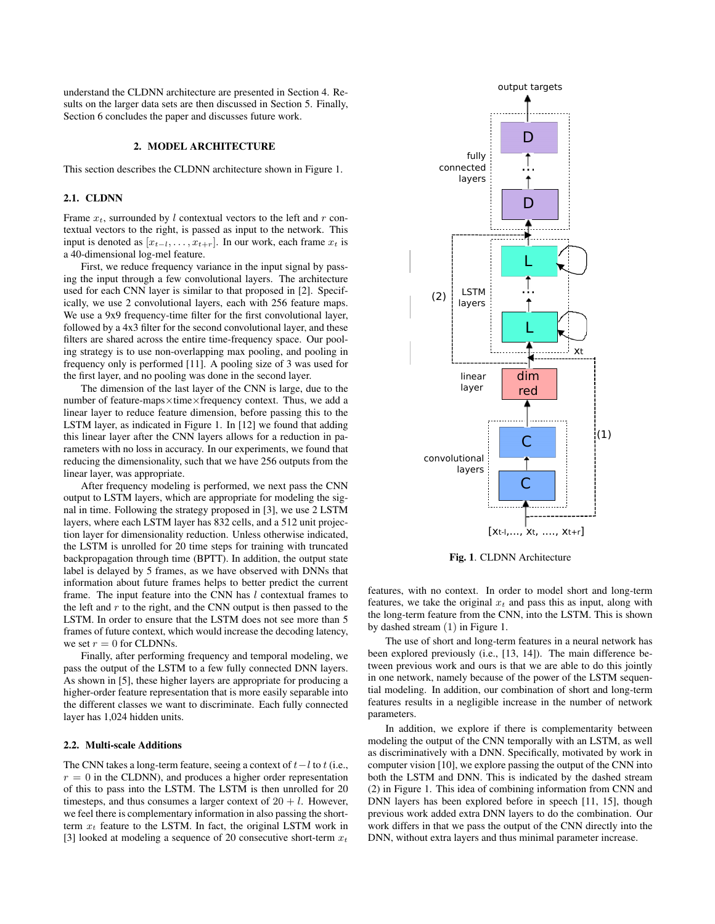understand the CLDNN architecture are presented in Section 4. Results on the larger data sets are then discussed in Section 5. Finally, Section 6 concludes the paper and discusses future work.

## 2. MODEL ARCHITECTURE

This section describes the CLDNN architecture shown in Figure 1.

# 2.1. CLDNN

Frame  $x_t$ , surrounded by l contextual vectors to the left and r contextual vectors to the right, is passed as input to the network. This input is denoted as  $[x_{t-1}, \ldots, x_{t+r}]$ . In our work, each frame  $x_t$  is a 40-dimensional log-mel feature.

First, we reduce frequency variance in the input signal by passing the input through a few convolutional layers. The architecture used for each CNN layer is similar to that proposed in [2]. Specifically, we use 2 convolutional layers, each with 256 feature maps. We use a 9x9 frequency-time filter for the first convolutional layer, followed by a 4x3 filter for the second convolutional layer, and these filters are shared across the entire time-frequency space. Our pooling strategy is to use non-overlapping max pooling, and pooling in frequency only is performed [11]. A pooling size of 3 was used for the first layer, and no pooling was done in the second layer.

The dimension of the last layer of the CNN is large, due to the number of feature-maps×time×frequency context. Thus, we add a linear layer to reduce feature dimension, before passing this to the LSTM layer, as indicated in Figure 1. In [12] we found that adding this linear layer after the CNN layers allows for a reduction in parameters with no loss in accuracy. In our experiments, we found that reducing the dimensionality, such that we have 256 outputs from the linear layer, was appropriate.

After frequency modeling is performed, we next pass the CNN output to LSTM layers, which are appropriate for modeling the signal in time. Following the strategy proposed in [3], we use 2 LSTM layers, where each LSTM layer has 832 cells, and a 512 unit projection layer for dimensionality reduction. Unless otherwise indicated, the LSTM is unrolled for 20 time steps for training with truncated backpropagation through time (BPTT). In addition, the output state label is delayed by 5 frames, as we have observed with DNNs that information about future frames helps to better predict the current frame. The input feature into the CNN has  $l$  contextual frames to the left and  $r$  to the right, and the CNN output is then passed to the LSTM. In order to ensure that the LSTM does not see more than 5 frames of future context, which would increase the decoding latency, we set  $r = 0$  for CLDNNs.

Finally, after performing frequency and temporal modeling, we pass the output of the LSTM to a few fully connected DNN layers. As shown in [5], these higher layers are appropriate for producing a higher-order feature representation that is more easily separable into the different classes we want to discriminate. Each fully connected layer has 1,024 hidden units.

## 2.2. Multi-scale Additions

The CNN takes a long-term feature, seeing a context of  $t - l$  to  $t$  (i.e.,  $r = 0$  in the CLDNN), and produces a higher order representation of this to pass into the LSTM. The LSTM is then unrolled for 20 timesteps, and thus consumes a larger context of  $20 + l$ . However, we feel there is complementary information in also passing the shortterm  $x_t$  feature to the LSTM. In fact, the original LSTM work in [3] looked at modeling a sequence of 20 consecutive short-term  $x_t$ 



Fig. 1. CLDNN Architecture

features, with no context. In order to model short and long-term features, we take the original  $x_t$  and pass this as input, along with the long-term feature from the CNN, into the LSTM. This is shown by dashed stream (1) in Figure 1.

The use of short and long-term features in a neural network has been explored previously (i.e., [13, 14]). The main difference between previous work and ours is that we are able to do this jointly in one network, namely because of the power of the LSTM sequential modeling. In addition, our combination of short and long-term features results in a negligible increase in the number of network parameters.

In addition, we explore if there is complementarity between modeling the output of the CNN temporally with an LSTM, as well as discriminatively with a DNN. Specifically, motivated by work in computer vision [10], we explore passing the output of the CNN into both the LSTM and DNN. This is indicated by the dashed stream (2) in Figure 1. This idea of combining information from CNN and DNN layers has been explored before in speech [11, 15], though previous work added extra DNN layers to do the combination. Our work differs in that we pass the output of the CNN directly into the DNN, without extra layers and thus minimal parameter increase.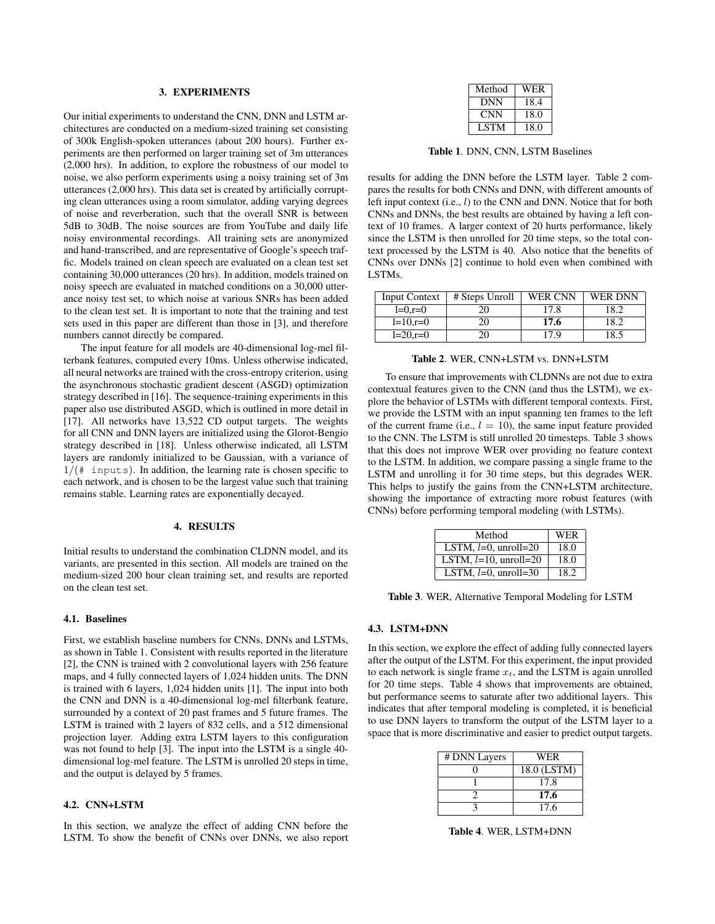#### 3. EXPERIMENTS

Our initial experiments to understand the CNN, DNN and LSTM architectures are conducted on a medium-sized training set consisting of 300k English-spoken utterances (about 200 hours). Further experiments are then performed on larger training set of 3m utterances (2,000 hrs). In addition, to explore the robustness of our model to noise, we also perform experiments using a noisy training set of 3m utterances (2,000 hrs). This data set is created by artificially corrupting clean utterances using a room simulator, adding varying degrees of noise and reverberation, such that the overall SNR is between 5dB to 30dB. The noise sources are from YouTube and daily life noisy environmental recordings. All training sets are anonymized and hand-transcribed, and are representative of Google's speech traffic. Models trained on clean speech are evaluated on a clean test set containing 30,000 utterances (20 hrs). In addition, models trained on noisy speech are evaluated in matched conditions on a 30,000 utterance noisy test set, to which noise at various SNRs has been added to the clean test set. It is important to note that the training and test sets used in this paper are different than those in [3], and therefore numbers cannot directly be compared.

The input feature for all models are 40-dimensional log-mel filterbank features, computed every 10ms. Unless otherwise indicated, all neural networks are trained with the cross-entropy criterion, using the asynchronous stochastic gradient descent (ASGD) optimization strategy described in [16]. The sequence-training experiments in this paper also use distributed ASGD, which is outlined in more detail in [17]. All networks have 13,522 CD output targets. The weights for all CNN and DNN layers are initialized using the Glorot-Bengio strategy described in [18]. Unless otherwise indicated, all LSTM layers are randomly initialized to be Gaussian, with a variance of  $1/(\ddagger$  inputs). In addition, the learning rate is chosen specific to each network, and is chosen to be the largest value such that training remains stable. Learning rates are exponentially decayed.

# 4. RESULTS

Initial results to understand the combination CLDNN model, and its variants, are presented in this section. All models are trained on the medium-sized 200 hour clean training set, and results are reported on the clean test set.

#### 4.1. Baselines

First, we establish baseline numbers for CNNs, DNNs and LSTMs, as shown in Table 1. Consistent with results reported in the literature [2], the CNN is trained with 2 convolutional layers with 256 feature maps, and 4 fully connected layers of 1,024 hidden units. The DNN is trained with 6 layers, 1,024 hidden units [1]. The input into both the CNN and DNN is a 40-dimensional log-mel filterbank feature, surrounded by a context of 20 past frames and 5 future frames. The LSTM is trained with 2 layers of 832 cells, and a 512 dimensional projection layer. Adding extra LSTM layers to this configuration was not found to help [3]. The input into the LSTM is a single 40 dimensional log-mel feature. The LSTM is unrolled 20 steps in time, and the output is delayed by 5 frames.

## 4.2. CNN+LSTM

In this section, we analyze the effect of adding CNN before the LSTM. To show the benefit of CNNs over DNNs, we also report

| Method     | WER  |
|------------|------|
| DNN        | 18.4 |
| <b>CNN</b> | 18.0 |
| LSTM       | 18.0 |

Table 1. DNN, CNN, LSTM Baselines

results for adding the DNN before the LSTM layer. Table 2 compares the results for both CNNs and DNN, with different amounts of left input context (i.e., l) to the CNN and DNN. Notice that for both CNNs and DNNs, the best results are obtained by having a left context of 10 frames. A larger context of 20 hurts performance, likely since the LSTM is then unrolled for 20 time steps, so the total context processed by the LSTM is 40. Also notice that the benefits of CNNs over DNNs [2] continue to hold even when combined with LSTMs.

| <b>Input Context</b> | # Steps Unroll | <b>WER CNN</b> | <b>WER DNN</b> |
|----------------------|----------------|----------------|----------------|
| $l=0,r=0$            | 20             | 17.8           | 18.2           |
| $l=10,r=0$           | 20             | 17.6           | 18.2           |
| $l=20,r=0$           | 20             | 17.9           | 18.5           |

## Table 2. WER, CNN+LSTM vs. DNN+LSTM

To ensure that improvements with CLDNNs are not due to extra contextual features given to the CNN (and thus the LSTM), we explore the behavior of LSTMs with different temporal contexts. First, we provide the LSTM with an input spanning ten frames to the left of the current frame (i.e.,  $l = 10$ ), the same input feature provided to the CNN. The LSTM is still unrolled 20 timesteps. Table 3 shows that this does not improve WER over providing no feature context to the LSTM. In addition, we compare passing a single frame to the LSTM and unrolling it for 30 time steps, but this degrades WER. This helps to justify the gains from the CNN+LSTM architecture, showing the importance of extracting more robust features (with CNNs) before performing temporal modeling (with LSTMs).

| Method                   | <b>WER</b> |
|--------------------------|------------|
| LSTM, $l=0$ , unroll=20  | 18.0       |
| LSTM, $l=10$ , unroll=20 | 18.0       |
| LSTM, $l=0$ , unroll=30  | 18.2       |

Table 3. WER, Alternative Temporal Modeling for LSTM

## 4.3. LSTM+DNN

In this section, we explore the effect of adding fully connected layers after the output of the LSTM. For this experiment, the input provided to each network is single frame  $x_t$ , and the LSTM is again unrolled for 20 time steps. Table 4 shows that improvements are obtained, but performance seems to saturate after two additional layers. This indicates that after temporal modeling is completed, it is beneficial to use DNN layers to transform the output of the LSTM layer to a space that is more discriminative and easier to predict output targets.

| # DNN Layers | <b>WER</b>  |
|--------------|-------------|
|              | 18.0 (LSTM) |
|              | 17.8        |
|              | 17.6        |
|              | 17.6        |

Table 4. WER, LSTM+DNN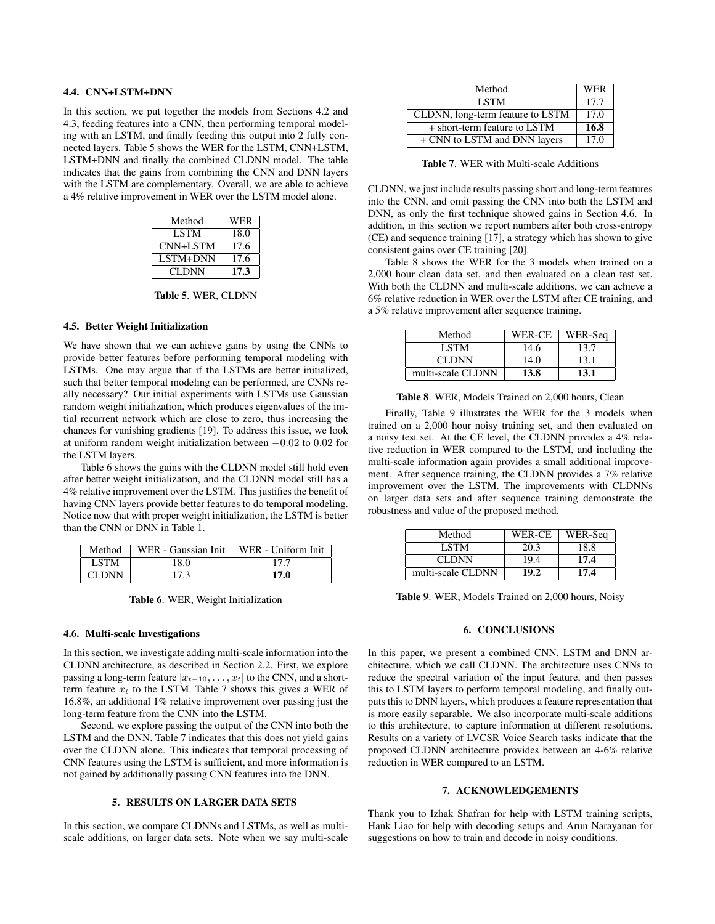#### 4.4. CNN+LSTM+DNN

In this section, we put together the models from Sections 4.2 and 4.3, feeding features into a CNN, then performing temporal modeling with an LSTM, and finally feeding this output into 2 fully connected layers. Table 5 shows the WER for the LSTM, CNN+LSTM, LSTM+DNN and finally the combined CLDNN model. The table indicates that the gains from combining the CNN and DNN layers with the LSTM are complementary. Overall, we are able to achieve a 4% relative improvement in WER over the LSTM model alone.

| Method      | WER  |
|-------------|------|
| <b>LSTM</b> | 18.0 |
| CNN+LSTM    | 17.6 |
| LSTM+DNN    | 17.6 |
| CLDNN       | 17.3 |

Table 5. WER, CLDNN

## 4.5. Better Weight Initialization

We have shown that we can achieve gains by using the CNNs to provide better features before performing temporal modeling with LSTMs. One may argue that if the LSTMs are better initialized, such that better temporal modeling can be performed, are CNNs really necessary? Our initial experiments with LSTMs use Gaussian random weight initialization, which produces eigenvalues of the initial recurrent network which are close to zero, thus increasing the chances for vanishing gradients [19]. To address this issue, we look at uniform random weight initialization between −0.02 to 0.02 for the LSTM layers.

Table 6 shows the gains with the CLDNN model still hold even after better weight initialization, and the CLDNN model still has a 4% relative improvement over the LSTM. This justifies the benefit of having CNN layers provide better features to do temporal modeling. Notice now that with proper weight initialization, the LSTM is better than the CNN or DNN in Table 1.

| Method | WER - Gaussian Init | WER - Uniform Init |
|--------|---------------------|--------------------|
| LSTM   | 18.0                | 177                |
| CLDNN  | 17.3                | 17.0               |

Table 6. WER, Weight Initialization

#### 4.6. Multi-scale Investigations

In this section, we investigate adding multi-scale information into the CLDNN architecture, as described in Section 2.2. First, we explore passing a long-term feature  $[x_{t-10}, \ldots, x_t]$  to the CNN, and a shortterm feature  $x_t$  to the LSTM. Table 7 shows this gives a WER of 16.8%, an additional 1% relative improvement over passing just the long-term feature from the CNN into the LSTM.

Second, we explore passing the output of the CNN into both the LSTM and the DNN. Table 7 indicates that this does not yield gains over the CLDNN alone. This indicates that temporal processing of CNN features using the LSTM is sufficient, and more information is not gained by additionally passing CNN features into the DNN.

# 5. RESULTS ON LARGER DATA SETS

In this section, we compare CLDNNs and LSTMs, as well as multiscale additions, on larger data sets. Note when we say multi-scale

| Method                           | WER  |
|----------------------------------|------|
| <b>LSTM</b>                      | 17.7 |
| CLDNN, long-term feature to LSTM | 17.0 |
| + short-term feature to LSTM     | 16.8 |
| + CNN to LSTM and DNN layers     | 17.0 |

Table 7. WER with Multi-scale Additions

CLDNN, we just include results passing short and long-term features into the CNN, and omit passing the CNN into both the LSTM and DNN, as only the first technique showed gains in Section 4.6. In addition, in this section we report numbers after both cross-entropy (CE) and sequence training [17], a strategy which has shown to give consistent gains over CE training [20].

Table 8 shows the WER for the 3 models when trained on a 2,000 hour clean data set, and then evaluated on a clean test set. With both the CLDNN and multi-scale additions, we can achieve a 6% relative reduction in WER over the LSTM after CE training, and a 5% relative improvement after sequence training.

| Method            | WER-CE | WER-Sea |
|-------------------|--------|---------|
| LSTM              | 14.6   | 13.7    |
| <b>CLDNN</b>      | 14.0   | 13.1    |
| multi-scale CLDNN | 13.8   | 13.1    |

Table 8. WER, Models Trained on 2,000 hours, Clean

Finally, Table 9 illustrates the WER for the 3 models when trained on a 2,000 hour noisy training set, and then evaluated on a noisy test set. At the CE level, the CLDNN provides a 4% relative reduction in WER compared to the LSTM, and including the multi-scale information again provides a small additional improvement. After sequence training, the CLDNN provides a 7% relative improvement over the LSTM. The improvements with CLDNNs on larger data sets and after sequence training demonstrate the robustness and value of the proposed method.

| Method            | WER-CE | WER-Seq |
|-------------------|--------|---------|
| LSTM-             | 20.3   | 18.8    |
| <b>CLDNN</b>      | 19.4   | 17.4    |
| multi-scale CLDNN | 19.2   | 17.4    |

Table 9. WER, Models Trained on 2,000 hours, Noisy

# 6. CONCLUSIONS

In this paper, we present a combined CNN, LSTM and DNN architecture, which we call CLDNN. The architecture uses CNNs to reduce the spectral variation of the input feature, and then passes this to LSTM layers to perform temporal modeling, and finally outputs this to DNN layers, which produces a feature representation that is more easily separable. We also incorporate multi-scale additions to this architecture, to capture information at different resolutions. Results on a variety of LVCSR Voice Search tasks indicate that the proposed CLDNN architecture provides between an 4-6% relative reduction in WER compared to an LSTM.

## 7. ACKNOWLEDGEMENTS

Thank you to Izhak Shafran for help with LSTM training scripts, Hank Liao for help with decoding setups and Arun Narayanan for suggestions on how to train and decode in noisy conditions.